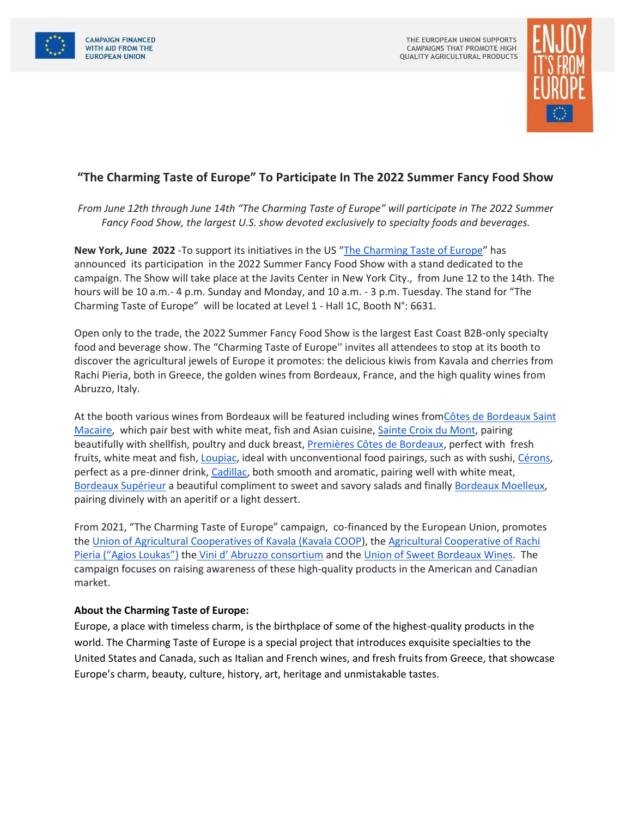



## **"The Charming Taste of Europe" To Participate In The 2022 Summer Fancy Food Show**

*From June 12th through June 14th "The Charming Taste of Europe" will participate in The 2022 Summer Fancy Food Show, the largest U.S. show devoted exclusively to specialty foods and beverages.*

**New York, June 2022** -To support its initiatives in the US "[The Charming Taste of Europe](https://www.charmingtasteofeurope.eu/en/)" has announced its participation in the 2022 Summer Fancy Food Show with a stand dedicated to the campaign. The Show will take place at the Javits Center in New York City., from June 12 to the 14th. The hours will be 10 a.m.- 4 p.m. Sunday and Monday, and 10 a.m. - 3 p.m. Tuesday. The stand for "The Charming Taste of Europe" will be located at Level 1 - Hall 1C, Booth N°: 6631.

Open only to the trade, the 2022 Summer Fancy Food Show is the largest East Coast B2B-only specialty food and beverage show. The "Charming Taste of Europe'' invites all attendees to stop at its booth to discover the agricultural jewels of Europe it promotes: the delicious kiwis from Kavala and cherries from Rachi Pieria, both in Greece, the golden wines from Bordeaux, France, and the high quality wines from Abruzzo, Italy.

At the booth various wines from Bordeaux will be featured including wines fro[mCôtes de Bordeaux Saint](https://www.charmingtasteofeurope.eu/en/sweet-bordeaux-wines/cotes-de-bordeaux-saint-macaire/)  [Macaire,](https://www.charmingtasteofeurope.eu/en/sweet-bordeaux-wines/cotes-de-bordeaux-saint-macaire/) which pair best with white meat, fish and Asian cuisine, [Sainte Croix du Mont,](https://www.charmingtasteofeurope.eu/en/sweet-bordeaux-wines/sainte-croix-du-mont/) pairing beautifully with shellfish, poultry and duck breast, [Premières Côtes de Bordeaux,](https://www.charmingtasteofeurope.eu/en/sweet-bordeaux-wines/premieres-cotes-de-bordeaux/) perfect with fresh fruits, white meat and fish[, Loupiac,](https://www.charmingtasteofeurope.eu/en/sweet-bordeaux-wines/loupiac/) ideal with unconventional food pairings, such as with sushi, [Cérons,](https://www.charmingtasteofeurope.eu/en/sweet-bordeaux-wines/cerons/) perfect as a pre-dinner drink, [Cadillac,](https://www.charmingtasteofeurope.eu/en/sweet-bordeaux-wines/cadillac/) both smooth and aromatic, pairing well with white meat[,](https://www.charmingtasteofeurope.eu/en/sweet-bordeaux-wines/bordeaux-superieur/)  [Bordeaux Supérieur](https://www.charmingtasteofeurope.eu/en/sweet-bordeaux-wines/bordeaux-superieur/) a beautiful compliment to sweet and savory salads and finally [Bordeaux Moelleux,](https://www.charmingtasteofeurope.eu/en/sweet-bordeaux-wines/bordeaux-moelleux/) pairing divinely with an aperitif or a light dessert.

From 2021, "The Charming Taste of Europe" campaign, co-financed by the European Union, promotes th[e Union of Agricultural Cooperatives of Kavala \(Kavala COOP\)](https://www.charmingtasteofeurope.eu/en/kavala-coop/), the [Agricultural Cooperative of Rachi](https://kerasiarachis.gr/en/)  [Pieria \("Agios Loukas"\)](https://kerasiarachis.gr/en/) the [Vini d' Abruzzo consortium](https://www.vinidabruzzo.it/en/) and th[e Union of Sweet Bordeaux Wines.](https://www.sweetbordeaux.com/en) The campaign focuses on raising awareness of these high-quality products in the American and Canadian market.

## **About the Charming Taste of Europe:**

Europe, a place with timeless charm, is the birthplace of some of the highest-quality products in the world. The Charming Taste of Europe is a special project that introduces exquisite specialties to the United States and Canada, such as Italian and French wines, and fresh fruits from Greece, that showcase Europe's charm, beauty, culture, history, art, heritage and unmistakable tastes.